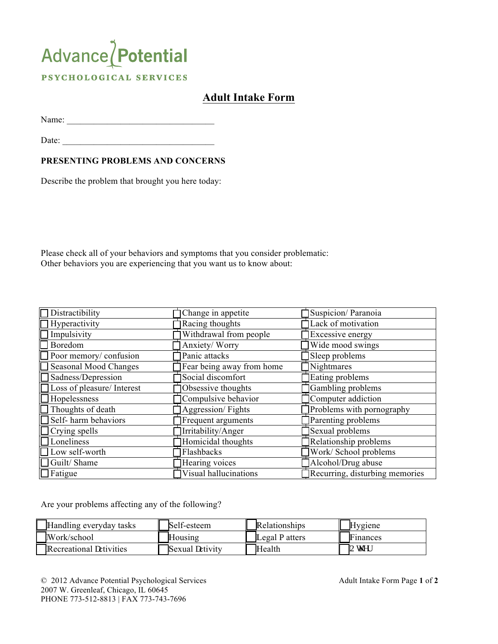## Advance / Potential PSYCHOLOGICAL SERVICES

## **Adult Intake Form**

Name: \_\_\_\_\_\_\_\_\_\_\_\_\_\_\_\_\_\_\_\_\_\_\_\_\_\_\_\_\_\_\_\_\_

Date:

## **PRESENTING PROBLEMS AND CONCERNS**

Describe the problem that brought you here today:

Please check all of your behaviors and symptoms that you consider problematic: Other behaviors you are experiencing that you want us to know about:

| Distractibility            | Change in appetite        | Suspicion/Paranoia             |  |
|----------------------------|---------------------------|--------------------------------|--|
| Hyperactivity              | Racing thoughts           | Lack of motivation             |  |
| Impulsivity                | Withdrawal from people    | <b>Excessive energy</b>        |  |
| Boredom                    | Anxiety/Worry             | Wide mood swings               |  |
| Poor memory/confusion      | Panic attacks             | Sleep problems                 |  |
| Seasonal Mood Changes      | Fear being away from home | Nightmares                     |  |
| Sadness/Depression         | Social discomfort         | Eating problems                |  |
| Loss of pleasure/ Interest | Obsessive thoughts        | Gambling problems              |  |
| Hopelessness               | Compulsive behavior       | Computer addiction             |  |
| Thoughts of death          | Aggression/Fights         | Problems with pornography      |  |
| Self-harm behaviors        | Frequent arguments        | Parenting problems             |  |
| Crying spells              | Irritability/Anger        | Sexual problems                |  |
| Loneliness                 | Homicidal thoughts        | Relationship problems          |  |
| Low self-worth             | Flashbacks                | Work/ School problems          |  |
| Guilt/Shame                | Hearing voices            | Alcohol/Drug abuse             |  |
| $\Box$ Fatigue             | Visual hallucinations     | Recurring, disturbing memories |  |

Are your problems affecting any of the following?

| Handling everyday tasks | Self-esteem     | Relationships  | <b>Hygiene</b> |
|-------------------------|-----------------|----------------|----------------|
| Work/school             | Housing         | Legal o atters | le mances      |
| Recreational cctivities | Sexual cctivity | Health         | <b>Q</b> y gt  |

© 2012 Advance Potential Psychological Services Adult Intake Form Page **1** of **2** 2007 W. Greenleaf, Chicago, IL 60645 PHONE 773-512-8813 | FAX 773-743-7696